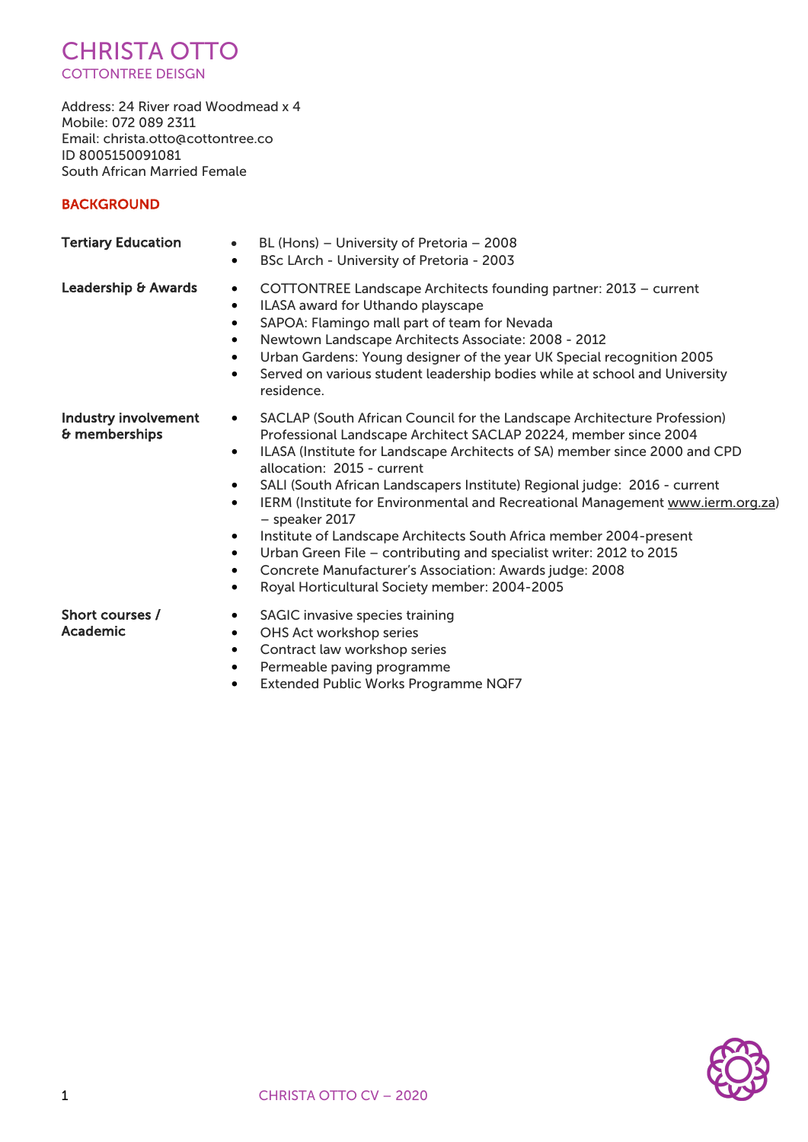

Address: 24 River road Woodmead x 4 Mobile: 072 089 2311 Email: christa.otto@cottontree.co ID 8005150091081 South African Married Female

# **BACKGROUND**

| <b>Tertiary Education</b>                    | BL (Hons) - University of Pretoria - 2008<br>$\bullet$<br>BSc LArch - University of Pretoria - 2003<br>$\bullet$                                                                                                                                                                                                                                                                                                                                                                                                                                                                                                                                                                                                                                                                                             |
|----------------------------------------------|--------------------------------------------------------------------------------------------------------------------------------------------------------------------------------------------------------------------------------------------------------------------------------------------------------------------------------------------------------------------------------------------------------------------------------------------------------------------------------------------------------------------------------------------------------------------------------------------------------------------------------------------------------------------------------------------------------------------------------------------------------------------------------------------------------------|
| Leadership & Awards                          | COTTONTREE Landscape Architects founding partner: 2013 - current<br>$\bullet$<br>ILASA award for Uthando playscape<br>$\bullet$<br>SAPOA: Flamingo mall part of team for Nevada<br>$\bullet$<br>Newtown Landscape Architects Associate: 2008 - 2012<br>$\bullet$<br>Urban Gardens: Young designer of the year UK Special recognition 2005<br>$\bullet$<br>Served on various student leadership bodies while at school and University<br>$\bullet$<br>residence.                                                                                                                                                                                                                                                                                                                                              |
| <b>Industry involvement</b><br>& memberships | SACLAP (South African Council for the Landscape Architecture Profession)<br>$\bullet$<br>Professional Landscape Architect SACLAP 20224, member since 2004<br>ILASA (Institute for Landscape Architects of SA) member since 2000 and CPD<br>$\bullet$<br>allocation: 2015 - current<br>SALI (South African Landscapers Institute) Regional judge: 2016 - current<br>$\bullet$<br>IERM (Institute for Environmental and Recreational Management www.ierm.org.za)<br>$\bullet$<br>$-$ speaker 2017<br>Institute of Landscape Architects South Africa member 2004-present<br>$\bullet$<br>Urban Green File - contributing and specialist writer: 2012 to 2015<br>$\bullet$<br>Concrete Manufacturer's Association: Awards judge: 2008<br>$\bullet$<br>Royal Horticultural Society member: 2004-2005<br>$\bullet$ |
| Short courses /<br>Academic                  | SAGIC invasive species training<br>$\bullet$<br>OHS Act workshop series<br>$\bullet$<br>Contract law workshop series<br>$\bullet$<br>Permeable paving programme<br>$\bullet$<br>Extended Public Works Programme NQF7<br>٠                                                                                                                                                                                                                                                                                                                                                                                                                                                                                                                                                                                    |

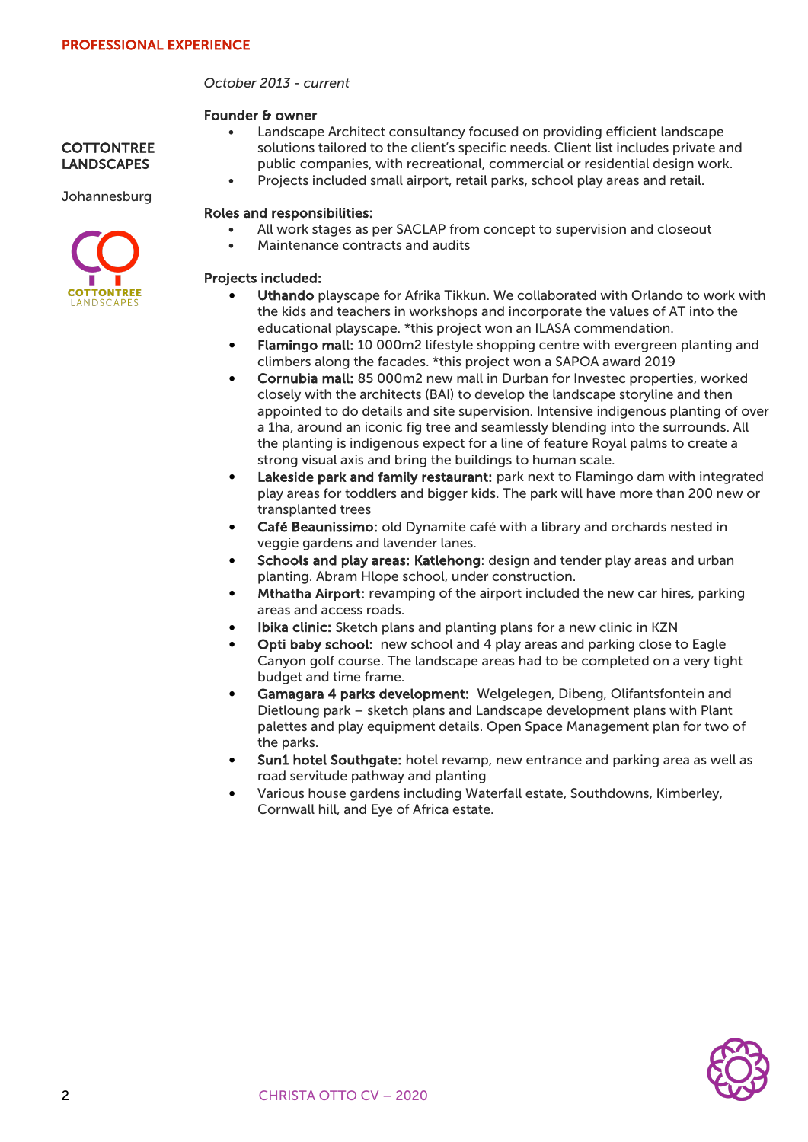## *October 2013 - current*

#### Founder & owner

- Landscape Architect consultancy focused on providing efficient landscape solutions tailored to the client's specific needs. Client list includes private and public companies, with recreational, commercial or residential design work.
- Projects included small airport, retail parks, school play areas and retail.

#### Roles and responsibilities:

- All work stages as per SACLAP from concept to supervision and closeout
- Maintenance contracts and audits

#### Projects included:

- Uthando playscape for Afrika Tikkun. We collaborated with Orlando to work with the kids and teachers in workshops and incorporate the values of AT into the educational playscape. \*this project won an ILASA commendation.
- Flamingo mall: 10 000m2 lifestyle shopping centre with evergreen planting and climbers along the facades. \*this project won a SAPOA award 2019
- Cornubia mall: 85 000m2 new mall in Durban for Investec properties, worked closely with the architects (BAI) to develop the landscape storyline and then appointed to do details and site supervision. Intensive indigenous planting of over a 1ha, around an iconic fig tree and seamlessly blending into the surrounds. All the planting is indigenous expect for a line of feature Royal palms to create a strong visual axis and bring the buildings to human scale.
- Lakeside park and family restaurant: park next to Flamingo dam with integrated play areas for toddlers and bigger kids. The park will have more than 200 new or transplanted trees
- Café Beaunissimo: old Dynamite café with a library and orchards nested in veggie gardens and lavender lanes.
- Schools and play areas: Katlehong: design and tender play areas and urban planting. Abram Hlope school, under construction.
- Mthatha Airport: revamping of the airport included the new car hires, parking areas and access roads.
- Ibika clinic: Sketch plans and planting plans for a new clinic in KZN
- Opti baby school: new school and 4 play areas and parking close to Eagle Canyon golf course. The landscape areas had to be completed on a very tight budget and time frame.
- Gamagara 4 parks development: Welgelegen, Dibeng, Olifantsfontein and Dietloung park – sketch plans and Landscape development plans with Plant palettes and play equipment details. Open Space Management plan for two of the parks.
- Sun1 hotel Southgate: hotel revamp, new entrance and parking area as well as road servitude pathway and planting
- Various house gardens including Waterfall estate, Southdowns, Kimberley, Cornwall hill, and Eye of Africa estate.







**COTTONTREE LANDSCAPES** 

**Johannesburg**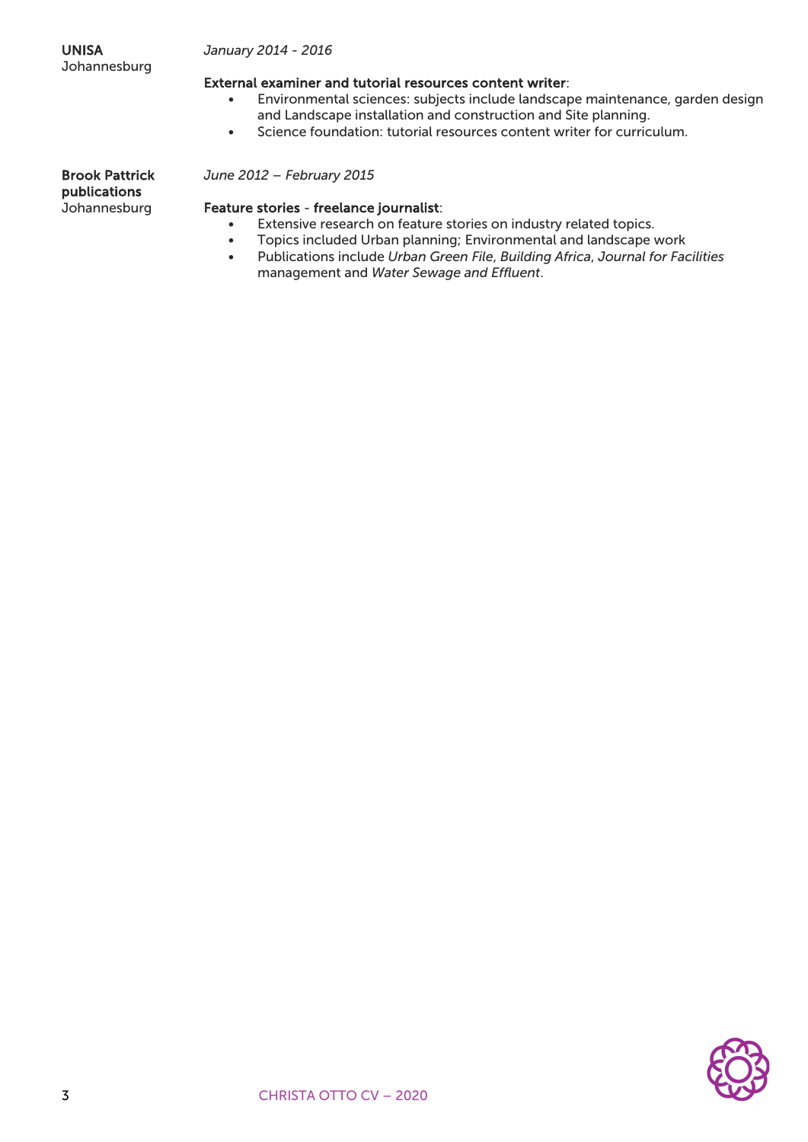## *January 2014 - 2016*

### External examiner and tutorial resources content writer:

- Environmental sciences: subjects include landscape maintenance, garden design and Landscape installation and construction and Site planning.
- Science foundation: tutorial resources content writer for curriculum.

Brook Pattrick publications Johannesburg

#### *June 2012 – February 2015*

#### Feature stories - freelance journalist:

- Extensive research on feature stories on industry related topics.
- Topics included Urban planning; Environmental and landscape work
- Publications include *Urban Green File*, *Building Africa*, *Journal for Facilities* management and *Water Sewage and Effluent*.

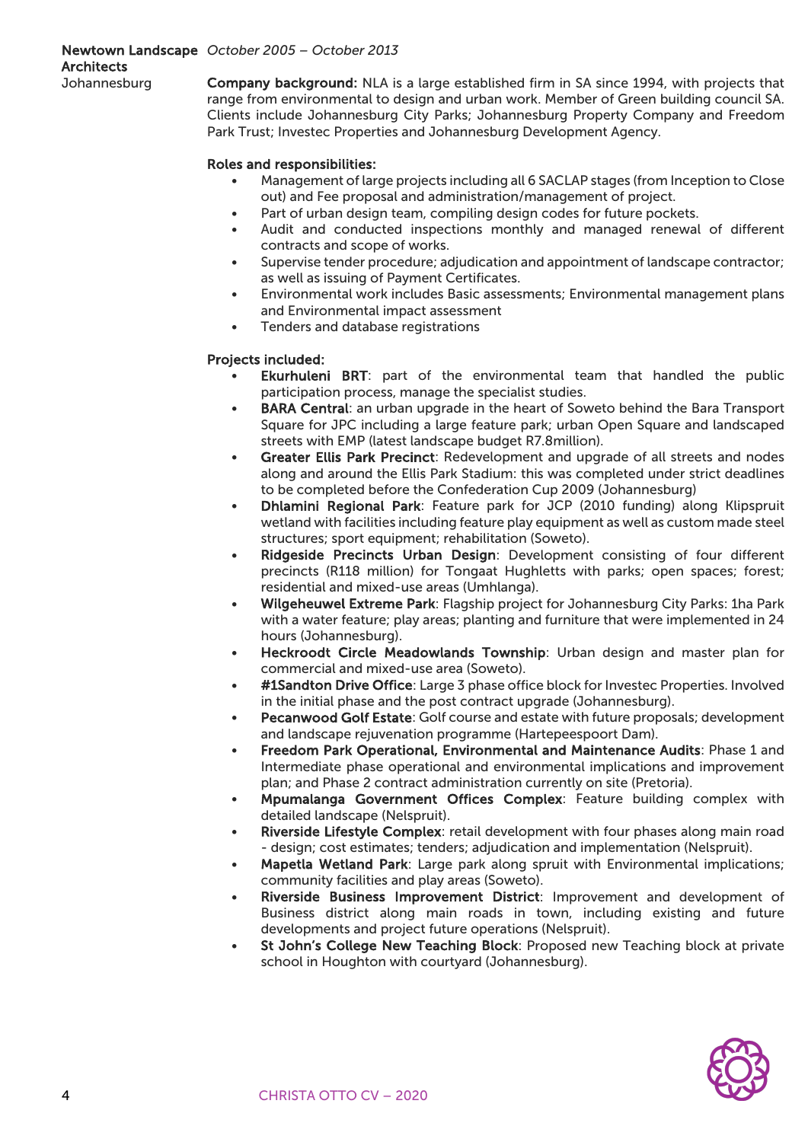### Newtown Landscape *October 2005 – October 2013* **Architects** Johannesburg

Company background: NLA is a large established firm in SA since 1994, with projects that range from environmental to design and urban work. Member of Green building council SA. Clients include Johannesburg City Parks; Johannesburg Property Company and Freedom Park Trust; Investec Properties and Johannesburg Development Agency.

# Roles and responsibilities:

- Management of large projects including all 6 SACLAP stages (from Inception to Close out) and Fee proposal and administration/management of project.
- Part of urban design team, compiling design codes for future pockets.
- Audit and conducted inspections monthly and managed renewal of different contracts and scope of works.
- Supervise tender procedure; adjudication and appointment of landscape contractor; as well as issuing of Payment Certificates.
- Environmental work includes Basic assessments; Environmental management plans and Environmental impact assessment
- Tenders and database registrations

# Projects included:

- Ekurhuleni BRT: part of the environmental team that handled the public participation process, manage the specialist studies.
- BARA Central: an urban upgrade in the heart of Soweto behind the Bara Transport Square for JPC including a large feature park; urban Open Square and landscaped streets with EMP (latest landscape budget R7.8million).
- Greater Ellis Park Precinct: Redevelopment and upgrade of all streets and nodes along and around the Ellis Park Stadium: this was completed under strict deadlines to be completed before the Confederation Cup 2009 (Johannesburg)
- Dhlamini Regional Park: Feature park for JCP (2010 funding) along Klipspruit wetland with facilities including feature play equipment as well as custom made steel structures; sport equipment; rehabilitation (Soweto).
- Ridgeside Precincts Urban Design: Development consisting of four different precincts (R118 million) for Tongaat Hughletts with parks; open spaces; forest; residential and mixed-use areas (Umhlanga).
- Wilgeheuwel Extreme Park: Flagship project for Johannesburg City Parks: 1ha Park with a water feature; play areas; planting and furniture that were implemented in 24 hours (Johannesburg).
- Heckroodt Circle Meadowlands Township: Urban design and master plan for commercial and mixed-use area (Soweto).
- #1Sandton Drive Office: Large 3 phase office block for Investec Properties. Involved in the initial phase and the post contract upgrade (Johannesburg).
- Pecanwood Golf Estate: Golf course and estate with future proposals; development and landscape rejuvenation programme (Hartepeespoort Dam).
- Freedom Park Operational, Environmental and Maintenance Audits: Phase 1 and Intermediate phase operational and environmental implications and improvement plan; and Phase 2 contract administration currently on site (Pretoria).
- Mpumalanga Government Offices Complex: Feature building complex with detailed landscape (Nelspruit).
- Riverside Lifestyle Complex: retail development with four phases along main road - design; cost estimates; tenders; adjudication and implementation (Nelspruit).
- Mapetla Wetland Park: Large park along spruit with Environmental implications; community facilities and play areas (Soweto).
- Riverside Business Improvement District: Improvement and development of Business district along main roads in town, including existing and future developments and project future operations (Nelspruit).
- St John's College New Teaching Block: Proposed new Teaching block at private school in Houghton with courtyard (Johannesburg).